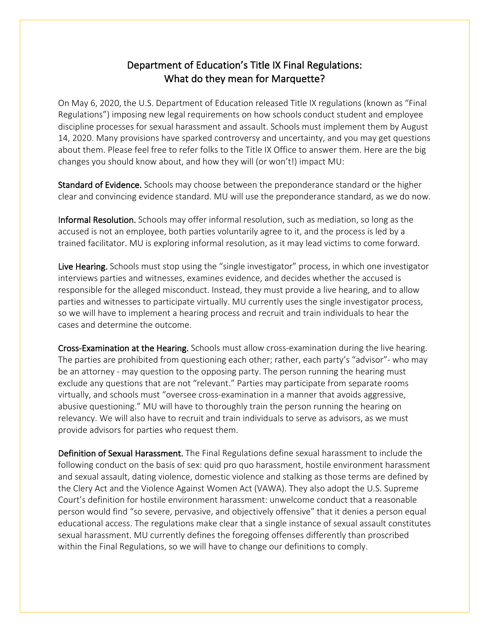## Department of Education's Title IX Final Regulations: What do they mean for Marquette?

On May 6, 2020, the U.S. Department of Education released Title IX regulations (known as "Final Regulations") imposing new legal requirements on how schools conduct student and employee discipline processes for sexual harassment and assault. Schools must implement them by August 14, 2020. Many provisions have sparked controversy and uncertainty, and you may get questions about them. Please feel free to refer folks to the Title IX Office to answer them. Here are the big changes you should know about, and how they will (or won't!) impact MU:

Standard of Evidence. Schools may choose between the preponderance standard or the higher clear and convincing evidence standard. MU will use the preponderance standard, as we do now.

Informal Resolution. Schools may offer informal resolution, such as mediation, so long as the accused is not an employee, both parties voluntarily agree to it, and the process is led by a trained facilitator. MU is exploring informal resolution, as it may lead victims to come forward.

Live Hearing. Schools must stop using the "single investigator" process, in which one investigator interviews parties and witnesses, examines evidence, and decides whether the accused is responsible for the alleged misconduct. Instead, they must provide a live hearing, and to allow parties and witnesses to participate virtually. MU currently uses the single investigator process, so we will have to implement a hearing process and recruit and train individuals to hear the cases and determine the outcome.

Cross-Examination at the Hearing. Schools must allow cross-examination during the live hearing. The parties are prohibited from questioning each other; rather, each party's "advisor"- who may be an attorney - may question to the opposing party. The person running the hearing must exclude any questions that are not "relevant." Parties may participate from separate rooms virtually, and schools must "oversee cross-examination in a manner that avoids aggressive, abusive questioning." MU will have to thoroughly train the person running the hearing on relevancy. We will also have to recruit and train individuals to serve as advisors, as we must provide advisors for parties who request them.

Definition of Sexual Harassment. The Final Regulations define sexual harassment to include the following conduct on the basis of sex: quid pro quo harassment, hostile environment harassment and sexual assault, dating violence, domestic violence and stalking as those terms are defined by the Clery Act and the Violence Against Women Act (VAWA). They also adopt the U.S. Supreme Court's definition for hostile environment harassment: unwelcome conduct that a reasonable person would find "so severe, pervasive, and objectively offensive" that it denies a person equal educational access. The regulations make clear that a single instance of sexual assault constitutes sexual harassment. MU currently defines the foregoing offenses differently than proscribed within the Final Regulations, so we will have to change our definitions to comply.